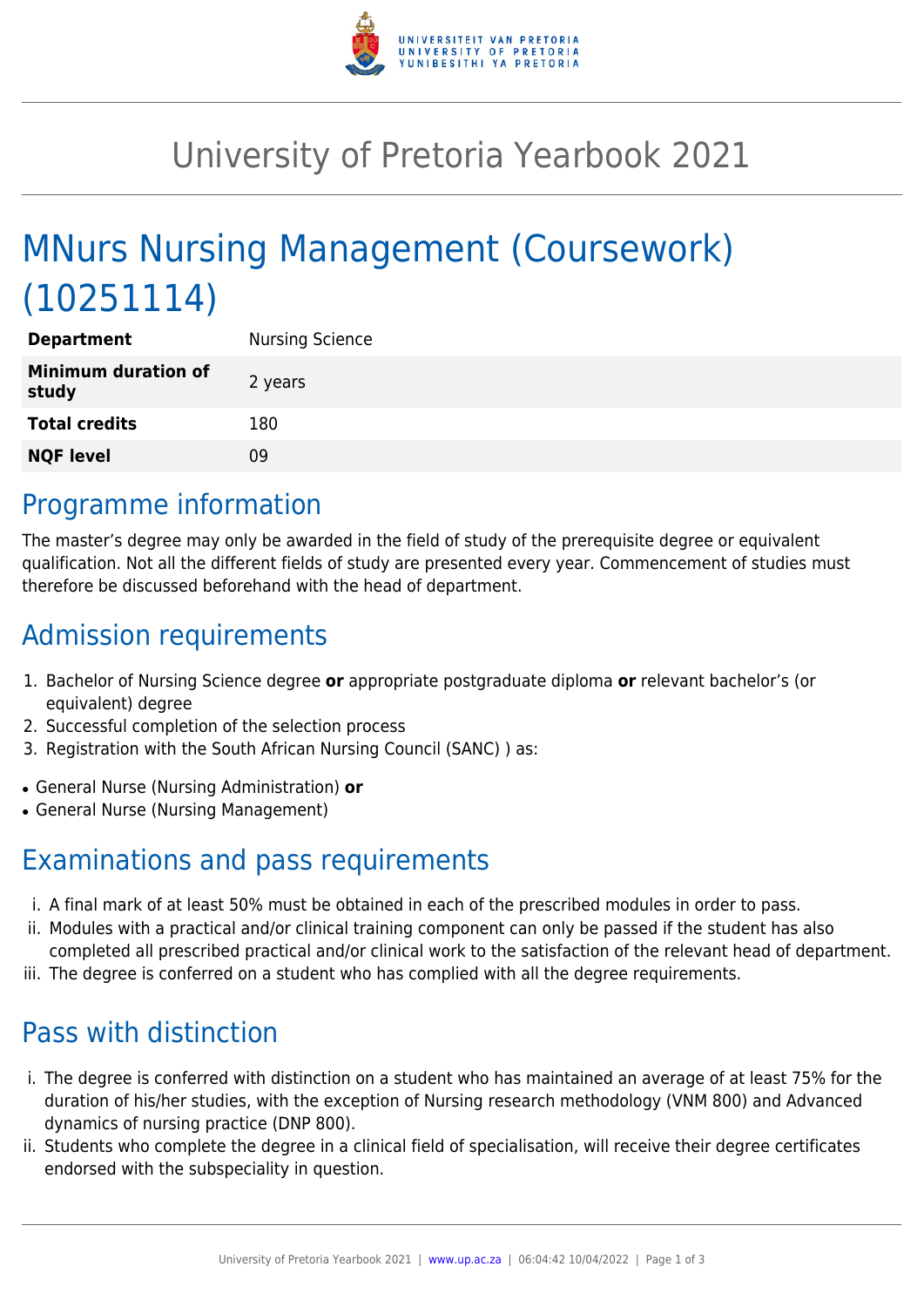

# University of Pretoria Yearbook 2021

# MNurs Nursing Management (Coursework) (10251114)

| <b>Department</b>                   | <b>Nursing Science</b> |
|-------------------------------------|------------------------|
| <b>Minimum duration of</b><br>study | 2 years                |
| <b>Total credits</b>                | 180                    |
| <b>NQF level</b>                    | 09                     |

### Programme information

The master's degree may only be awarded in the field of study of the prerequisite degree or equivalent qualification. Not all the different fields of study are presented every year. Commencement of studies must therefore be discussed beforehand with the head of department.

## Admission requirements

- 1. Bachelor of Nursing Science degree **or** appropriate postgraduate diploma **or** relevant bachelor's (or equivalent) degree
- 2. Successful completion of the selection process
- 3. Registration with the South African Nursing Council (SANC) ) as:
- General Nurse (Nursing Administration) **or**
- General Nurse (Nursing Management)

### Examinations and pass requirements

- i. A final mark of at least 50% must be obtained in each of the prescribed modules in order to pass.
- ii. Modules with a practical and/or clinical training component can only be passed if the student has also completed all prescribed practical and/or clinical work to the satisfaction of the relevant head of department.
- iii. The degree is conferred on a student who has complied with all the degree requirements.

## Pass with distinction

- i. The degree is conferred with distinction on a student who has maintained an average of at least 75% for the duration of his/her studies, with the exception of Nursing research methodology (VNM 800) and Advanced dynamics of nursing practice (DNP 800).
- ii. Students who complete the degree in a clinical field of specialisation, will receive their degree certificates endorsed with the subspeciality in question.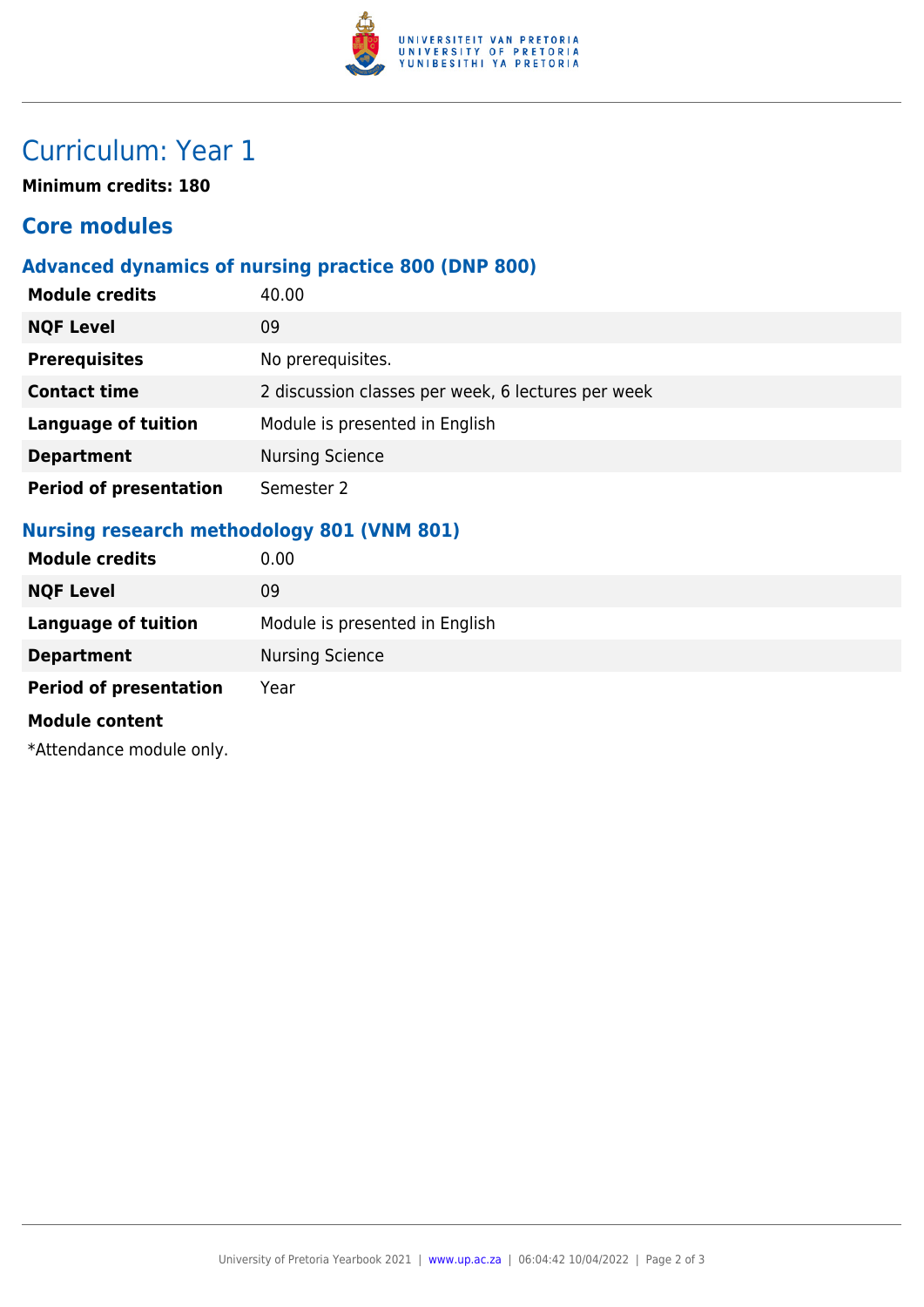

## Curriculum: Year 1

**Minimum credits: 180**

### **Core modules**

#### **Advanced dynamics of nursing practice 800 (DNP 800)**

| <b>Module credits</b>         | 40.00                                              |
|-------------------------------|----------------------------------------------------|
| <b>NQF Level</b>              | 09                                                 |
| <b>Prerequisites</b>          | No prerequisites.                                  |
| <b>Contact time</b>           | 2 discussion classes per week, 6 lectures per week |
| <b>Language of tuition</b>    | Module is presented in English                     |
| <b>Department</b>             | <b>Nursing Science</b>                             |
| <b>Period of presentation</b> | Semester 2                                         |

#### **Nursing research methodology 801 (VNM 801)**

| <b>Module credits</b>         | 0.00                           |
|-------------------------------|--------------------------------|
| <b>NQF Level</b>              | 09                             |
| <b>Language of tuition</b>    | Module is presented in English |
| <b>Department</b>             | <b>Nursing Science</b>         |
| <b>Period of presentation</b> | Year                           |
| <b>Module content</b>         |                                |
| *Attendance module only.      |                                |